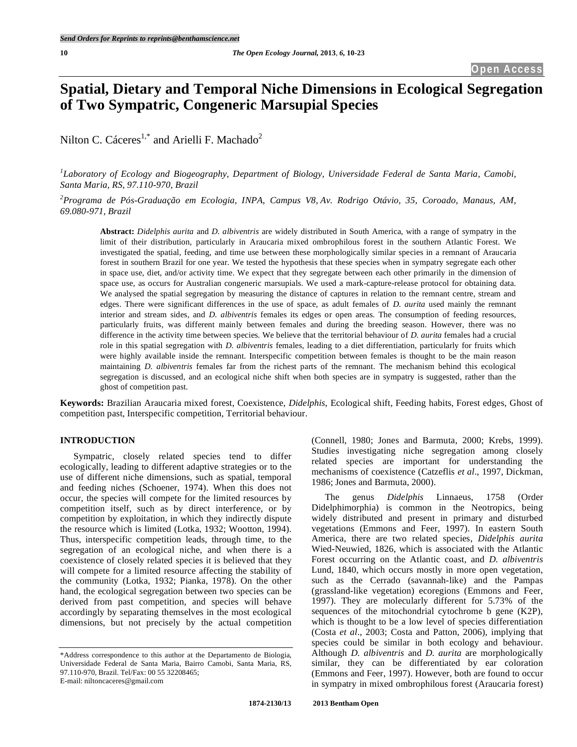# **Spatial, Dietary and Temporal Niche Dimensions in Ecological Segregation of Two Sympatric, Congeneric Marsupial Species**

Nilton C. Cáceres<sup>1,\*</sup> and Arielli F. Machado<sup>2</sup>

*1 Laboratory of Ecology and Biogeography, Department of Biology, Universidade Federal de Santa Maria, Camobi, Santa Maria, RS, 97.110-970, Brazil*

*2 Programa de Pós-Graduação em Ecologia, INPA, Campus V8, Av. Rodrigo Otávio, 35, Coroado, Manaus, AM, 69.080-971, Brazil*

**Abstract:** *Didelphis aurita* and *D. albiventris* are widely distributed in South America, with a range of sympatry in the limit of their distribution, particularly in Araucaria mixed ombrophilous forest in the southern Atlantic Forest. We investigated the spatial, feeding, and time use between these morphologically similar species in a remnant of Araucaria forest in southern Brazil for one year. We tested the hypothesis that these species when in sympatry segregate each other in space use, diet, and/or activity time. We expect that they segregate between each other primarily in the dimension of space use, as occurs for Australian congeneric marsupials. We used a mark-capture-release protocol for obtaining data. We analysed the spatial segregation by measuring the distance of captures in relation to the remnant centre, stream and edges. There were significant differences in the use of space, as adult females of *D. aurita* used mainly the remnant interior and stream sides, and *D. albiventris* females its edges or open areas. The consumption of feeding resources, particularly fruits, was different mainly between females and during the breeding season. However, there was no difference in the activity time between species. We believe that the territorial behaviour of *D. aurita* females had a crucial role in this spatial segregation with *D. albiventris* females, leading to a diet differentiation, particularly for fruits which were highly available inside the remnant. Interspecific competition between females is thought to be the main reason maintaining *D. albiventris* females far from the richest parts of the remnant. The mechanism behind this ecological segregation is discussed, and an ecological niche shift when both species are in sympatry is suggested, rather than the ghost of competition past.

**Keywords:** Brazilian Araucaria mixed forest, Coexistence, *Didelphis*, Ecological shift, Feeding habits, Forest edges, Ghost of competition past, Interspecific competition, Territorial behaviour.

## **INTRODUCTION**

Sympatric, closely related species tend to differ ecologically, leading to different adaptive strategies or to the use of different niche dimensions, such as spatial, temporal and feeding niches (Schoener, 1974). When this does not occur, the species will compete for the limited resources by competition itself, such as by direct interference, or by competition by exploitation, in which they indirectly dispute the resource which is limited (Lotka, 1932; Wootton, 1994). Thus, interspecific competition leads, through time, to the segregation of an ecological niche, and when there is a coexistence of closely related species it is believed that they will compete for a limited resource affecting the stability of the community (Lotka, 1932; Pianka, 1978). On the other hand, the ecological segregation between two species can be derived from past competition, and species will behave accordingly by separating themselves in the most ecological dimensions, but not precisely by the actual competition

(Connell, 1980; Jones and Barmuta, 2000; Krebs, 1999). Studies investigating niche segregation among closely related species are important for understanding the mechanisms of coexistence (Catzeflis *et al*., 1997, Dickman, 1986; Jones and Barmuta, 2000).

The genus *Didelphis* Linnaeus, 1758 (Order Didelphimorphia) is common in the Neotropics, being widely distributed and present in primary and disturbed vegetations (Emmons and Feer, 1997). In eastern South America, there are two related species, *Didelphis aurita* Wied-Neuwied, 1826, which is associated with the Atlantic Forest occurring on the Atlantic coast, and *D. albiventris* Lund, 1840, which occurs mostly in more open vegetation, such as the Cerrado (savannah-like) and the Pampas (grassland-like vegetation) ecoregions (Emmons and Feer, 1997). They are molecularly different for 5.73% of the sequences of the mitochondrial cytochrome b gene (K2P), which is thought to be a low level of species differentiation (Costa *et al*., 2003; Costa and Patton, 2006), implying that species could be similar in both ecology and behaviour. Although *D. albiventris* and *D. aurita* are morphologically similar, they can be differentiated by ear coloration (Emmons and Feer, 1997). However, both are found to occur in sympatry in mixed ombrophilous forest (Araucaria forest)

<sup>\*</sup>Address correspondence to this author at the Departamento de Biologia, Universidade Federal de Santa Maria, Bairro Camobi, Santa Maria, RS, 97.110-970, Brazil. Tel/Fax: 00 55 32208465; E-mail: niltoncaceres@gmail.com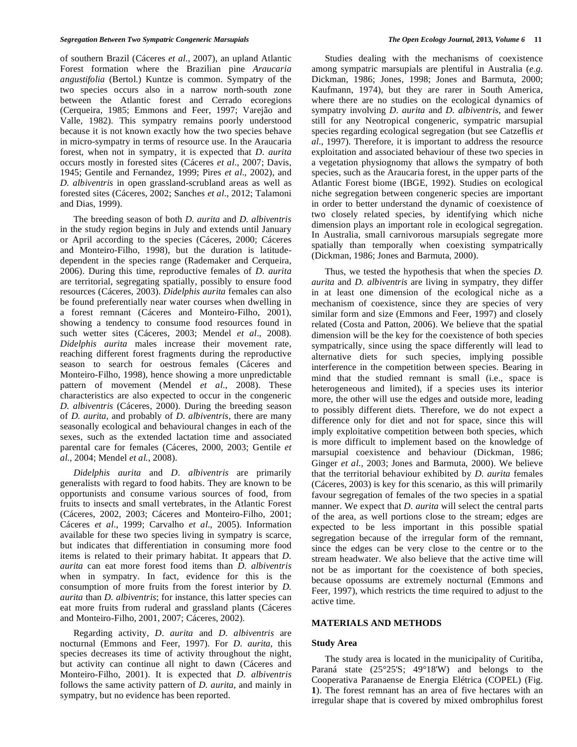of southern Brazil (Cáceres *et al*., 2007), an upland Atlantic Forest formation where the Brazilian pine *Araucaria angustifolia* (Bertol.) Kuntze is common. Sympatry of the two species occurs also in a narrow north-south zone between the Atlantic forest and Cerrado ecoregions (Cerqueira, 1985; Emmons and Feer, 1997; Varejão and Valle, 1982). This sympatry remains poorly understood because it is not known exactly how the two species behave in micro-sympatry in terms of resource use. In the Araucaria forest, when not in sympatry, it is expected that *D. aurita* occurs mostly in forested sites (Cáceres *et al*., 2007; Davis, 1945; Gentile and Fernandez, 1999; Pires *et al*., 2002), and *D. albiventris* in open grassland-scrubland areas as well as forested sites (Cáceres, 2002; Sanches *et al*., 2012; Talamoni and Dias, 1999).

The breeding season of both *D. aurita* and *D. albiventris* in the study region begins in July and extends until January or April according to the species (Cáceres, 2000; Cáceres and Monteiro-Filho, 1998), but the duration is latitudedependent in the species range (Rademaker and Cerqueira, 2006). During this time, reproductive females of *D. aurita* are territorial, segregating spatially, possibly to ensure food resources (Cáceres, 2003). *Didelphis aurita* females can also be found preferentially near water courses when dwelling in a forest remnant (Cáceres and Monteiro-Filho, 2001), showing a tendency to consume food resources found in such wetter sites (Cáceres, 2003; Mendel *et al*., 2008). *Didelphis aurita* males increase their movement rate, reaching different forest fragments during the reproductive season to search for oestrous females (Cáceres and Monteiro-Filho, 1998), hence showing a more unpredictable pattern of movement (Mendel *et al*., 2008). These characteristics are also expected to occur in the congeneric *D. albiventris* (Cáceres, 2000). During the breeding season of *D. aurita*, and probably of *D. albiventris*, there are many seasonally ecological and behavioural changes in each of the sexes, such as the extended lactation time and associated parental care for females (Cáceres, 2000, 2003; Gentile *et al.,* 2004; Mendel *et al.*, 2008).

*Didelphis aurita* and *D. albiventris* are primarily generalists with regard to food habits. They are known to be opportunists and consume various sources of food, from fruits to insects and small vertebrates, in the Atlantic Forest (Cáceres, 2002, 2003; Cáceres and Monteiro-Filho, 2001; Cáceres *et al*., 1999; Carvalho *et al*., 2005). Information available for these two species living in sympatry is scarce, but indicates that differentiation in consuming more food items is related to their primary habitat. It appears that *D. aurita* can eat more forest food items than *D. albiventris* when in sympatry. In fact, evidence for this is the consumption of more fruits from the forest interior by *D. aurita* than *D. albiventris*; for instance, this latter species can eat more fruits from ruderal and grassland plants (Cáceres and Monteiro-Filho, 2001, 2007; Cáceres, 2002).

Regarding activity, *D. aurita* and *D. albiventris* are nocturnal (Emmons and Feer, 1997). For *D. aurita*, this species decreases its time of activity throughout the night, but activity can continue all night to dawn (Cáceres and Monteiro-Filho, 2001). It is expected that *D. albiventris* follows the same activity pattern of *D. aurita*, and mainly in sympatry, but no evidence has been reported.

Studies dealing with the mechanisms of coexistence among sympatric marsupials are plentiful in Australia (*e.g.* Dickman, 1986; Jones, 1998; Jones and Barmuta, 2000; Kaufmann, 1974), but they are rarer in South America, where there are no studies on the ecological dynamics of sympatry involving *D. aurita* and *D. albiventris*, and fewer still for any Neotropical congeneric, sympatric marsupial species regarding ecological segregation (but see Catzeflis *et al*., 1997). Therefore, it is important to address the resource exploitation and associated behaviour of these two species in a vegetation physiognomy that allows the sympatry of both species, such as the Araucaria forest, in the upper parts of the Atlantic Forest biome (IBGE, 1992). Studies on ecological niche segregation between congeneric species are important in order to better understand the dynamic of coexistence of two closely related species, by identifying which niche dimension plays an important role in ecological segregation. In Australia, small carnivorous marsupials segregate more spatially than temporally when coexisting sympatrically (Dickman, 1986; Jones and Barmuta, 2000).

Thus, we tested the hypothesis that when the species *D. aurita* and *D. albiventris* are living in sympatry, they differ in at least one dimension of the ecological niche as a mechanism of coexistence, since they are species of very similar form and size (Emmons and Feer, 1997) and closely related (Costa and Patton, 2006). We believe that the spatial dimension will be the key for the coexistence of both species sympatrically, since using the space differently will lead to alternative diets for such species, implying possible interference in the competition between species. Bearing in mind that the studied remnant is small (i.e., space is heterogeneous and limited), if a species uses its interior more, the other will use the edges and outside more, leading to possibly different diets. Therefore, we do not expect a difference only for diet and not for space, since this will imply exploitative competition between both species, which is more difficult to implement based on the knowledge of marsupial coexistence and behaviour (Dickman, 1986; Ginger *et al*., 2003; Jones and Barmuta, 2000). We believe that the territorial behaviour exhibited by *D. aurita* females (Cáceres, 2003) is key for this scenario, as this will primarily favour segregation of females of the two species in a spatial manner. We expect that *D. aurita* will select the central parts of the area, as well portions close to the stream; edges are expected to be less important in this possible spatial segregation because of the irregular form of the remnant, since the edges can be very close to the centre or to the stream headwater. We also believe that the active time will not be as important for the coexistence of both species, because opossums are extremely nocturnal (Emmons and Feer, 1997), which restricts the time required to adjust to the active time.

## **MATERIALS AND METHODS**

## **Study Area**

The study area is located in the municipality of Curitiba, Paraná state (25°25'S; 49°18'W) and belongs to the Cooperativa Paranaense de Energia Elétrica (COPEL) (Fig. **1**). The forest remnant has an area of five hectares with an irregular shape that is covered by mixed ombrophilus forest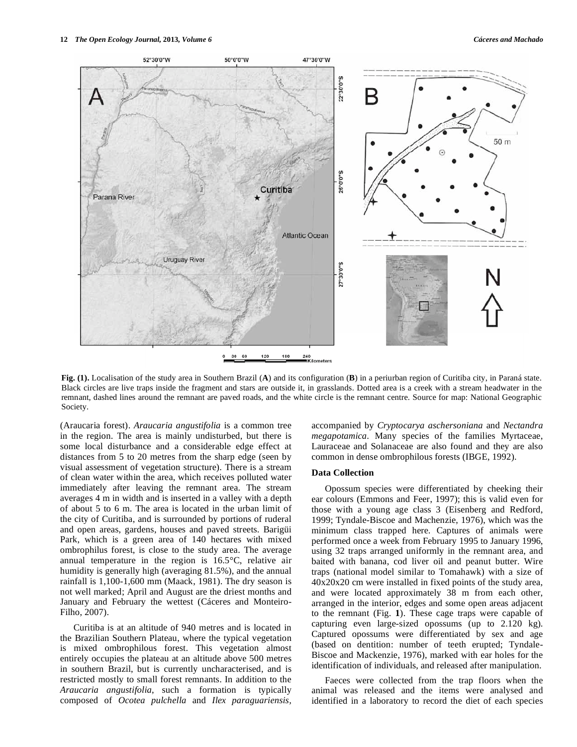

**Fig. (1).** Localisation of the study area in Southern Brazil (**A**) and its configuration (**B**) in a periurban region of Curitiba city, in Paraná state. Black circles are live traps inside the fragment and stars are outside it, in grasslands. Dotted area is a creek with a stream headwater in the remnant, dashed lines around the remnant are paved roads, and the white circle is the remnant centre. Source for map: National Geographic Society.

(Araucaria forest). *Araucaria angustifolia* is a common tree in the region. The area is mainly undisturbed, but there is some local disturbance and a considerable edge effect at distances from 5 to 20 metres from the sharp edge (seen by visual assessment of vegetation structure). There is a stream of clean water within the area, which receives polluted water immediately after leaving the remnant area. The stream averages 4 m in width and is inserted in a valley with a depth of about 5 to 6 m. The area is located in the urban limit of the city of Curitiba, and is surrounded by portions of ruderal and open areas, gardens, houses and paved streets. Barigüi Park, which is a green area of 140 hectares with mixed ombrophilus forest, is close to the study area. The average annual temperature in the region is 16.5°C, relative air humidity is generally high (averaging 81.5%), and the annual rainfall is 1,100-1,600 mm (Maack, 1981). The dry season is not well marked; April and August are the driest months and January and February the wettest (Cáceres and Monteiro-Filho, 2007).

Curitiba is at an altitude of 940 metres and is located in the Brazilian Southern Plateau, where the typical vegetation is mixed ombrophilous forest. This vegetation almost entirely occupies the plateau at an altitude above 500 metres in southern Brazil, but is currently uncharacterised, and is restricted mostly to small forest remnants. In addition to the *Araucaria angustifolia*, such a formation is typically composed of *Ocotea pulchella* and *Ilex paraguariensis,* accompanied by *Cryptocarya aschersoniana* and *Nectandra megapotamica.* Many species of the families Myrtaceae, Lauraceae and Solanaceae are also found and they are also common in dense ombrophilous forests (IBGE, 1992).

#### **Data Collection**

Opossum species were differentiated by cheeking their ear colours (Emmons and Feer, 1997); this is valid even for those with a young age class 3 (Eisenberg and Redford, 1999; Tyndale-Biscoe and Machenzie, 1976), which was the minimum class trapped here. Captures of animals were performed once a week from February 1995 to January 1996, using 32 traps arranged uniformly in the remnant area, and baited with banana, cod liver oil and peanut butter. Wire traps (national model similar to Tomahawk) with a size of 40x20x20 cm were installed in fixed points of the study area, and were located approximately 38 m from each other, arranged in the interior, edges and some open areas adjacent to the remnant (Fig. **1**). These cage traps were capable of capturing even large-sized opossums (up to 2.120 kg). Captured opossums were differentiated by sex and age (based on dentition: number of teeth erupted; Tyndale-Biscoe and Mackenzie, 1976), marked with ear holes for the identification of individuals, and released after manipulation.

Faeces were collected from the trap floors when the animal was released and the items were analysed and identified in a laboratory to record the diet of each species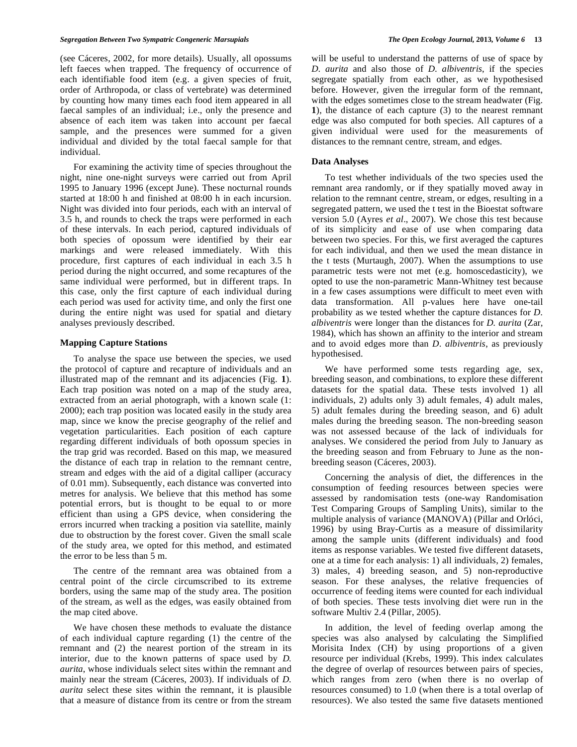(see Cáceres, 2002, for more details). Usually, all opossums left faeces when trapped. The frequency of occurrence of each identifiable food item (e.g. a given species of fruit, order of Arthropoda, or class of vertebrate) was determined by counting how many times each food item appeared in all faecal samples of an individual; i.e., only the presence and absence of each item was taken into account per faecal sample, and the presences were summed for a given individual and divided by the total faecal sample for that individual.

For examining the activity time of species throughout the night, nine one-night surveys were carried out from April 1995 to January 1996 (except June). These nocturnal rounds started at 18:00 h and finished at 08:00 h in each incursion. Night was divided into four periods, each with an interval of 3.5 h, and rounds to check the traps were performed in each of these intervals. In each period, captured individuals of both species of opossum were identified by their ear markings and were released immediately. With this procedure, first captures of each individual in each 3.5 h period during the night occurred, and some recaptures of the same individual were performed, but in different traps. In this case, only the first capture of each individual during each period was used for activity time, and only the first one during the entire night was used for spatial and dietary analyses previously described.

## **Mapping Capture Stations**

To analyse the space use between the species, we used the protocol of capture and recapture of individuals and an illustrated map of the remnant and its adjacencies (Fig. **1**). Each trap position was noted on a map of the study area, extracted from an aerial photograph, with a known scale (1: 2000); each trap position was located easily in the study area map, since we know the precise geography of the relief and vegetation particularities. Each position of each capture regarding different individuals of both opossum species in the trap grid was recorded. Based on this map, we measured the distance of each trap in relation to the remnant centre, stream and edges with the aid of a digital calliper (accuracy of 0.01 mm). Subsequently, each distance was converted into metres for analysis. We believe that this method has some potential errors, but is thought to be equal to or more efficient than using a GPS device, when considering the errors incurred when tracking a position via satellite, mainly due to obstruction by the forest cover. Given the small scale of the study area, we opted for this method, and estimated the error to be less than 5 m.

The centre of the remnant area was obtained from a central point of the circle circumscribed to its extreme borders, using the same map of the study area. The position of the stream, as well as the edges, was easily obtained from the map cited above.

We have chosen these methods to evaluate the distance of each individual capture regarding (1) the centre of the remnant and (2) the nearest portion of the stream in its interior, due to the known patterns of space used by *D. aurita*, whose individuals select sites within the remnant and mainly near the stream (Cáceres, 2003). If individuals of *D. aurita* select these sites within the remnant, it is plausible that a measure of distance from its centre or from the stream will be useful to understand the patterns of use of space by *D. aurita* and also those of *D. albiventris*, if the species segregate spatially from each other, as we hypothesised before. However, given the irregular form of the remnant, with the edges sometimes close to the stream headwater (Fig. **1**), the distance of each capture (3) to the nearest remnant edge was also computed for both species. All captures of a given individual were used for the measurements of distances to the remnant centre, stream, and edges.

## **Data Analyses**

To test whether individuals of the two species used the remnant area randomly, or if they spatially moved away in relation to the remnant centre, stream, or edges, resulting in a segregated pattern, we used the t test in the Bioestat software version 5.0 (Ayres *et al*., 2007). We chose this test because of its simplicity and ease of use when comparing data between two species. For this, we first averaged the captures for each individual, and then we used the mean distance in the t tests (Murtaugh, 2007). When the assumptions to use parametric tests were not met (e.g. homoscedasticity), we opted to use the non-parametric Mann-Whitney test because in a few cases assumptions were difficult to meet even with data transformation. All p-values here have one-tail probability as we tested whether the capture distances for *D. albiventris* were longer than the distances for *D. aurita* (Zar, 1984), which has shown an affinity to the interior and stream and to avoid edges more than *D. albiventris*, as previously hypothesised.

We have performed some tests regarding age, sex, breeding season, and combinations, to explore these different datasets for the spatial data. These tests involved 1) all individuals, 2) adults only 3) adult females, 4) adult males, 5) adult females during the breeding season, and 6) adult males during the breeding season. The non-breeding season was not assessed because of the lack of individuals for analyses. We considered the period from July to January as the breeding season and from February to June as the nonbreeding season (Cáceres, 2003).

Concerning the analysis of diet, the differences in the consumption of feeding resources between species were assessed by randomisation tests (one-way Randomisation Test Comparing Groups of Sampling Units), similar to the multiple analysis of variance (MANOVA) (Pillar and Orlóci, 1996) by using Bray-Curtis as a measure of dissimilarity among the sample units (different individuals) and food items as response variables. We tested five different datasets, one at a time for each analysis: 1) all individuals, 2) females, 3) males, 4) breeding season, and 5) non-reproductive season. For these analyses, the relative frequencies of occurrence of feeding items were counted for each individual of both species. These tests involving diet were run in the software Multiv 2.4 (Pillar, 2005).

In addition, the level of feeding overlap among the species was also analysed by calculating the Simplified Morisita Index (CH) by using proportions of a given resource per individual (Krebs, 1999). This index calculates the degree of overlap of resources between pairs of species, which ranges from zero (when there is no overlap of resources consumed) to 1.0 (when there is a total overlap of resources). We also tested the same five datasets mentioned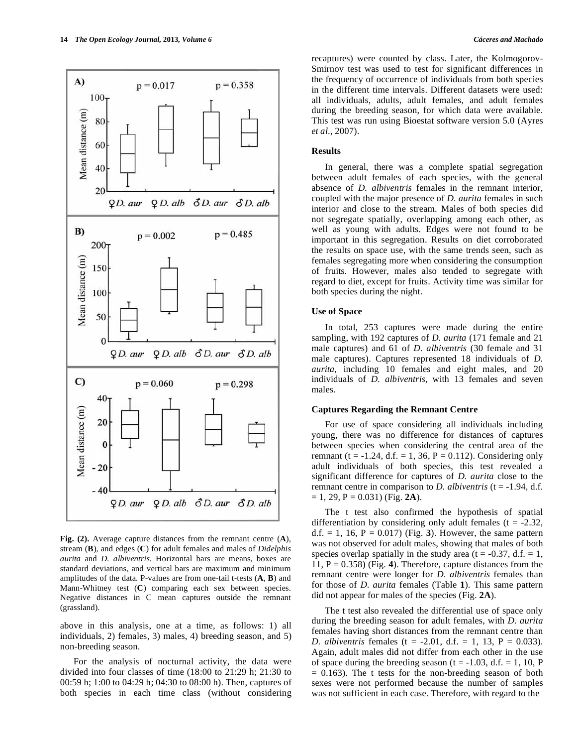



**Fig. (2).** Average capture distances from the remnant centre (**A**), stream (**B**), and edges (**C**) for adult females and males of *Didelphis aurita* and *D. albiventris*. Horizontal bars are means, boxes are standard deviations, and vertical bars are maximum and minimum amplitudes of the data. P-values are from one-tail t-tests (**A**, **B**) and Mann-Whitney test (**C**) comparing each sex between species. Negative distances in C mean captures outside the remnant (grassland).

above in this analysis, one at a time, as follows: 1) all individuals, 2) females, 3) males, 4) breeding season, and 5) non-breeding season.

For the analysis of nocturnal activity, the data were divided into four classes of time (18:00 to 21:29 h; 21:30 to 00:59 h; 1:00 to 04:29 h; 04:30 to 08:00 h). Then, captures of both species in each time class (without considering

recaptures) were counted by class. Later, the Kolmogorov-Smirnov test was used to test for significant differences in the frequency of occurrence of individuals from both species in the different time intervals. Different datasets were used: all individuals, adults, adult females, and adult females during the breeding season, for which data were available. This test was run using Bioestat software version 5.0 (Ayres *et al*., 2007).

#### **Results**

In general, there was a complete spatial segregation between adult females of each species, with the general absence of *D. albiventris* females in the remnant interior, coupled with the major presence of *D. aurita* females in such interior and close to the stream. Males of both species did not segregate spatially, overlapping among each other, as well as young with adults. Edges were not found to be important in this segregation. Results on diet corroborated the results on space use, with the same trends seen, such as females segregating more when considering the consumption of fruits. However, males also tended to segregate with regard to diet, except for fruits. Activity time was similar for both species during the night.

## **Use of Space**

In total, 253 captures were made during the entire sampling, with 192 captures of *D. aurita* (171 female and 21 male captures) and 61 of *D. albiventris* (30 female and 31 male captures). Captures represented 18 individuals of *D. aurita*, including 10 females and eight males, and 20 individuals of *D. albiventris*, with 13 females and seven males.

## **Captures Regarding the Remnant Centre**

For use of space considering all individuals including young, there was no difference for distances of captures between species when considering the central area of the remnant (t = -1.24, d.f. = 1, 36, P = 0.112). Considering only adult individuals of both species, this test revealed a significant difference for captures of *D. aurita* close to the remnant centre in comparison to *D. albiventris* ( $t = -1.94$ , d.f.  $= 1, 29, P = 0.031$  (Fig. **2A**).

The t test also confirmed the hypothesis of spatial differentiation by considering only adult females ( $t = -2.32$ , d.f.  $= 1, 16, P = 0.017$  (Fig. 3). However, the same pattern was not observed for adult males, showing that males of both species overlap spatially in the study area ( $t = -0.37$ , d.f. = 1, 11, P = 0.358) (Fig. **4**). Therefore, capture distances from the remnant centre were longer for *D. albiventris* females than for those of *D. aurita* females (Table **1**). This same pattern did not appear for males of the species (Fig. **2A**).

The t test also revealed the differential use of space only during the breeding season for adult females, with *D. aurita* females having short distances from the remnant centre than *D. albiventris* females (t = -2.01, d.f. = 1, 13, P = 0.033). Again, adult males did not differ from each other in the use of space during the breeding season (t =  $-1.03$ , d.f. = 1, 10, P  $= 0.163$ ). The t tests for the non-breeding season of both sexes were not performed because the number of samples was not sufficient in each case. Therefore, with regard to the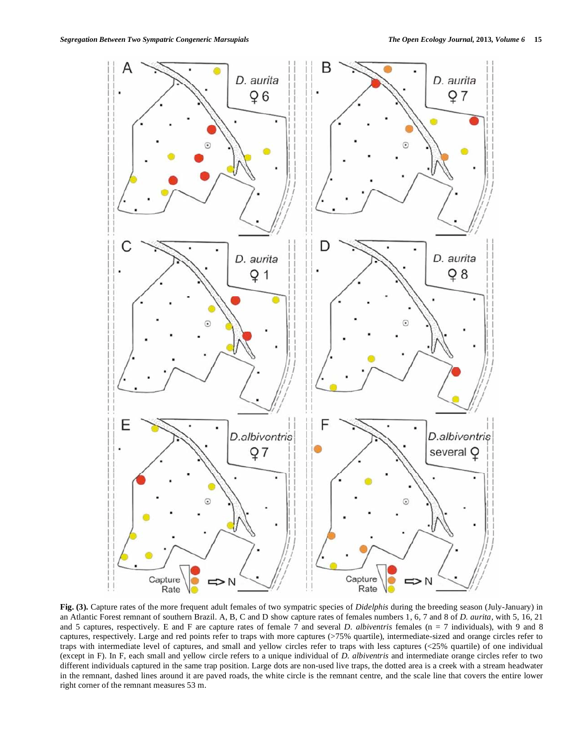

**Fig. (3).** Capture rates of the more frequent adult females of two sympatric species of *Didelphis* during the breeding season (July-January) in an Atlantic Forest remnant of southern Brazil. A, B, C and D show capture rates of females numbers 1, 6, 7 and 8 of *D. aurita*, with 5, 16, 21 and 5 captures, respectively. E and F are capture rates of female 7 and several *D. albiventris* females (n = 7 individuals), with 9 and 8 captures, respectively. Large and red points refer to traps with more captures (>75% quartile), intermediate-sized and orange circles refer to traps with intermediate level of captures, and small and yellow circles refer to traps with less captures (<25% quartile) of one individual (except in F). In F, each small and yellow circle refers to a unique individual of *D. albiventris* and intermediate orange circles refer to two different individuals captured in the same trap position. Large dots are non-used live traps, the dotted area is a creek with a stream headwater in the remnant, dashed lines around it are paved roads, the white circle is the remnant centre, and the scale line that covers the entire lower right corner of the remnant measures 53 m.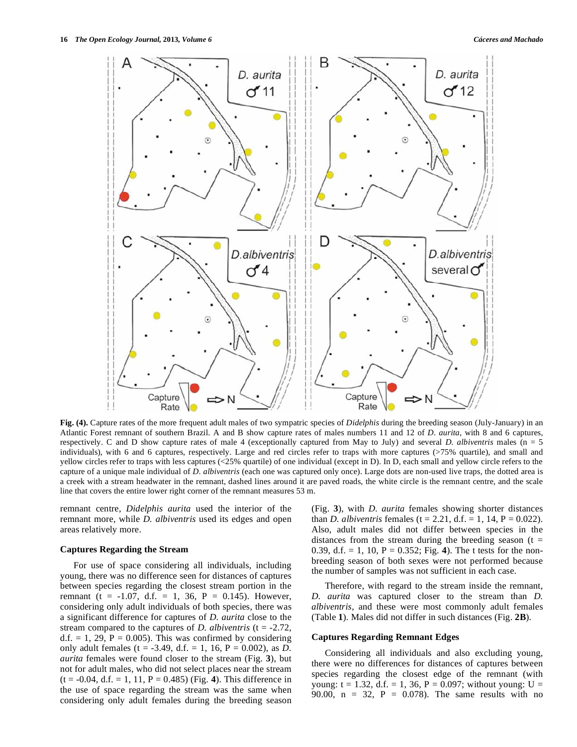

**Fig. (4).** Capture rates of the more frequent adult males of two sympatric species of *Didelphis* during the breeding season (July-January) in an Atlantic Forest remnant of southern Brazil. A and B show capture rates of males numbers 11 and 12 of *D. aurita*, with 8 and 6 captures, respectively. C and D show capture rates of male 4 (exceptionally captured from May to July) and several *D. albiventris* males (n = 5 individuals), with 6 and 6 captures, respectively. Large and red circles refer to traps with more captures (>75% quartile), and small and yellow circles refer to traps with less captures (<25% quartile) of one individual (except in D). In D, each small and yellow circle refers to the capture of a unique male individual of *D. albiventris* (each one was captured only once). Large dots are non-used live traps, the dotted area is a creek with a stream headwater in the remnant, dashed lines around it are paved roads, the white circle is the remnant centre, and the scale line that covers the entire lower right corner of the remnant measures 53 m.

remnant centre, *Didelphis aurita* used the interior of the remnant more, while *D. albiventris* used its edges and open areas relatively more.

## **Captures Regarding the Stream**

For use of space considering all individuals, including young, there was no difference seen for distances of captures between species regarding the closest stream portion in the remnant (t = -1.07, d.f. = 1, 36, P = 0.145). However, considering only adult individuals of both species, there was a significant difference for captures of *D. aurita* close to the stream compared to the captures of *D. albiventris* ( $t = -2.72$ , d.f. = 1, 29,  $P = 0.005$ ). This was confirmed by considering only adult females (t = -3.49, d.f. = 1, 16, P = 0.002), as *D. aurita* females were found closer to the stream (Fig. **3**), but not for adult males, who did not select places near the stream  $(t = -0.04, d.f. = 1, 11, P = 0.485)$  (Fig. 4). This difference in the use of space regarding the stream was the same when considering only adult females during the breeding season (Fig. **3**), with *D. aurita* females showing shorter distances than *D. albiventris* females ( $t = 2.21$ , d.f. = 1, 14,  $P = 0.022$ ). Also, adult males did not differ between species in the distances from the stream during the breeding season  $(t =$ 0.39, d.f.  $= 1$ , 10,  $P = 0.352$ ; Fig. 4). The t tests for the nonbreeding season of both sexes were not performed because the number of samples was not sufficient in each case.

Therefore, with regard to the stream inside the remnant, *D. aurita* was captured closer to the stream than *D. albiventris*, and these were most commonly adult females (Table **1**). Males did not differ in such distances (Fig. **2B**).

## **Captures Regarding Remnant Edges**

Considering all individuals and also excluding young, there were no differences for distances of captures between species regarding the closest edge of the remnant (with young:  $t = 1.32$ , d.f. = 1, 36, P = 0.097; without young: U = 90.00,  $n = 32$ ,  $P = 0.078$ . The same results with no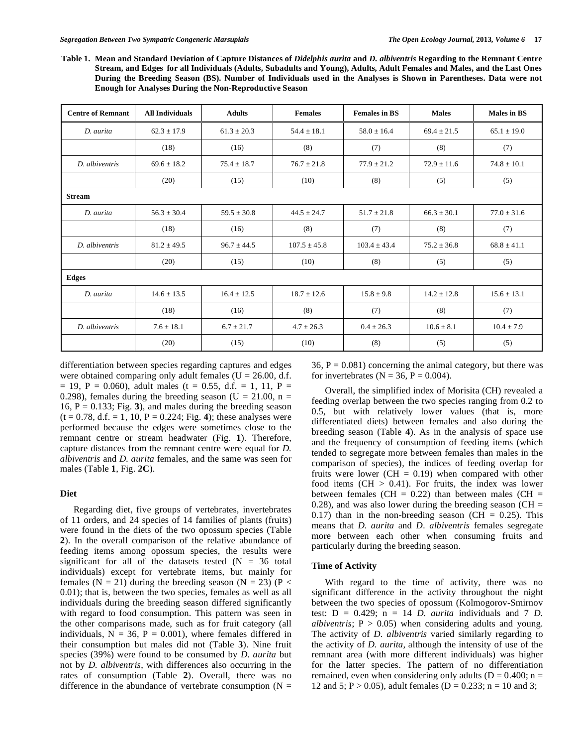**Table 1. Mean and Standard Deviation of Capture Distances of** *Didelphis aurita* **and** *D. albiventris* **Regarding to the Remnant Centre Stream, and Edges for all Individuals (Adults, Subadults and Young), Adults, Adult Females and Males, and the Last Ones During the Breeding Season (BS). Number of Individuals used in the Analyses is Shown in Parentheses. Data were not Enough for Analyses During the Non-Reproductive Season**

| <b>Centre of Remnant</b> | <b>All Individuals</b> | <b>Adults</b>   | <b>Females</b>   | <b>Females in BS</b> | <b>Males</b>    | <b>Males in BS</b> |
|--------------------------|------------------------|-----------------|------------------|----------------------|-----------------|--------------------|
| D. aurita                | $62.3 \pm 17.9$        | $61.3 \pm 20.3$ | $54.4 \pm 18.1$  | $58.0 \pm 16.4$      | $69.4 \pm 21.5$ | $65.1 \pm 19.0$    |
|                          | (18)                   | (16)            | (8)              | (7)                  | (8)             | (7)                |
| D. albiventris           | $69.6 \pm 18.2$        | $75.4 \pm 18.7$ | $76.7 \pm 21.8$  | $77.9 \pm 21.2$      | $72.9 \pm 11.6$ | $74.8 \pm 10.1$    |
|                          | (20)                   | (15)            | (10)             | (8)                  | (5)             | (5)                |
| <b>Stream</b>            |                        |                 |                  |                      |                 |                    |
| D. aurita                | $56.3 \pm 30.4$        | $59.5 \pm 30.8$ | $44.5 \pm 24.7$  | $51.7 \pm 21.8$      | $66.3 \pm 30.1$ | $77.0 \pm 31.6$    |
|                          | (18)                   | (16)            | (8)              | (7)                  | (8)             | (7)                |
| D. albiventris           | $81.2 \pm 49.5$        | $96.7 \pm 44.5$ | $107.5 \pm 45.8$ | $103.4 \pm 43.4$     | $75.2 \pm 36.8$ | $68.8 \pm 41.1$    |
|                          | (20)                   | (15)            | (10)             | (8)                  | (5)             | (5)                |
| <b>Edges</b>             |                        |                 |                  |                      |                 |                    |
| D. aurita                | $14.6 \pm 13.5$        | $16.4 \pm 12.5$ | $18.7 \pm 12.6$  | $15.8 \pm 9.8$       | $14.2 \pm 12.8$ | $15.6 \pm 13.1$    |
|                          | (18)                   | (16)            | (8)              | (7)                  | (8)             | (7)                |
| D. albiventris           | $7.6 \pm 18.1$         | $6.7 \pm 21.7$  | $4.7 \pm 26.3$   | $0.4 \pm 26.3$       | $10.6 \pm 8.1$  | $10.4 \pm 7.9$     |
|                          | (20)                   | (15)            | (10)             | (8)                  | (5)             | (5)                |

differentiation between species regarding captures and edges were obtained comparing only adult females ( $U = 26.00$ , d.f.  $= 19$ , P = 0.060), adult males (t = 0.55, d.f. = 1, 11, P = 0.298), females during the breeding season (U = 21.00, n = 16,  $P = 0.133$ ; Fig. 3), and males during the breeding season  $(t = 0.78, d.f. = 1, 10, P = 0.224; Fig. 4)$ ; these analyses were performed because the edges were sometimes close to the remnant centre or stream headwater (Fig. **1**). Therefore, capture distances from the remnant centre were equal for *D. albiventris* and *D. aurita* females, and the same was seen for males (Table **1**, Fig. **2C**).

## **Diet**

Regarding diet, five groups of vertebrates, invertebrates of 11 orders, and 24 species of 14 families of plants (fruits) were found in the diets of the two opossum species (Table **2**). In the overall comparison of the relative abundance of feeding items among opossum species, the results were significant for all of the datasets tested  $(N = 36$  total individuals) except for vertebrate items, but mainly for females  $(N = 21)$  during the breeding season  $(N = 23)$  (P < 0.01); that is, between the two species, females as well as all individuals during the breeding season differed significantly with regard to food consumption. This pattern was seen in the other comparisons made, such as for fruit category (all individuals,  $N = 36$ ,  $P = 0.001$ ), where females differed in their consumption but males did not (Table **3**). Nine fruit species (39%) were found to be consumed by *D. aurita* but not by *D. albiventris*, with differences also occurring in the rates of consumption (Table **2**). Overall, there was no difference in the abundance of vertebrate consumption  $(N =$ 

36,  $P = 0.081$ ) concerning the animal category, but there was for invertebrates ( $N = 36$ ,  $P = 0.004$ ).

Overall, the simplified index of Morisita (CH) revealed a feeding overlap between the two species ranging from 0.2 to 0.5, but with relatively lower values (that is, more differentiated diets) between females and also during the breeding season (Table **4**). As in the analysis of space use and the frequency of consumption of feeding items (which tended to segregate more between females than males in the comparison of species), the indices of feeding overlap for fruits were lower (CH  $= 0.19$ ) when compared with other food items  $(CH > 0.41)$ . For fruits, the index was lower between females (CH =  $0.22$ ) than between males (CH = 0.28), and was also lower during the breeding season (CH  $=$ 0.17) than in the non-breeding season (CH =  $0.25$ ). This means that *D. aurita* and *D. albiventris* females segregate more between each other when consuming fruits and particularly during the breeding season.

#### **Time of Activity**

With regard to the time of activity, there was no significant difference in the activity throughout the night between the two species of opossum (Kolmogorov-Smirnov test:  $D = 0.429$ ;  $n = 14$  *D. aurita* individuals and 7 *D. albiventris*;  $P > 0.05$  when considering adults and young. The activity of *D. albiventris* varied similarly regarding to the activity of *D. aurita*, although the intensity of use of the remnant area (with more different individuals) was higher for the latter species. The pattern of no differentiation remained, even when considering only adults ( $D = 0.400$ ; n = 12 and 5; P > 0.05), adult females (D = 0.233; n = 10 and 3;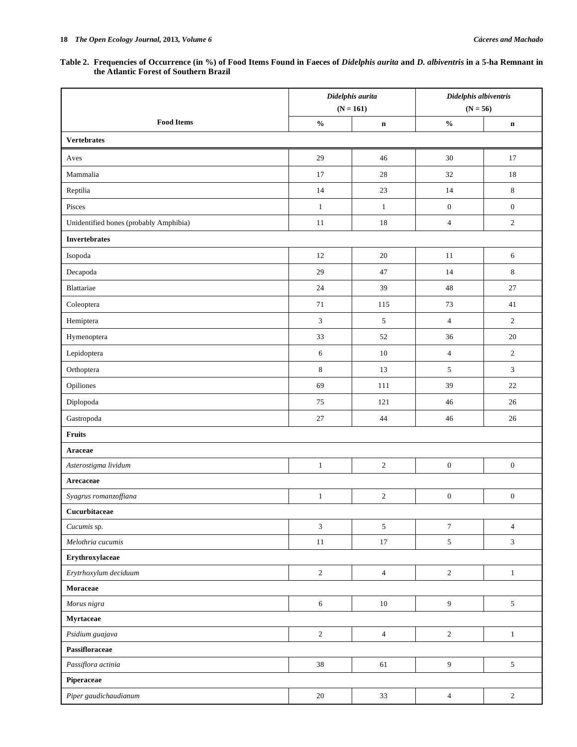## **Table 2. Frequencies of Occurrence (in %) of Food Items Found in Faeces of** *Didelphis aurita* **and** *D. albiventris* **in a 5-ha Remnant in the Atlantic Forest of Southern Brazil**

|                                        | Didelphis aurita                   |                  | Didelphis albiventris              |                  |
|----------------------------------------|------------------------------------|------------------|------------------------------------|------------------|
|                                        | $(N = 161)$                        |                  | $(N = 56)$                         |                  |
| <b>Food Items</b>                      | $\mathbf{0}_{\mathbf{0}}^{\prime}$ | $\mathbf n$      | $\mathbf{0}_{\mathbf{0}}^{\prime}$ | $\mathbf n$      |
| <b>Vertebrates</b>                     |                                    |                  |                                    |                  |
| Aves                                   | 29                                 | 46               | 30                                 | 17               |
| Mammalia                               | 17                                 | $28\,$           | 32                                 | $18\,$           |
| Reptilia                               | 14                                 | 23               | 14                                 | $\,8\,$          |
| Pisces                                 | $\mathbf{1}$                       | $\mathbf{1}$     | $\boldsymbol{0}$                   | $\boldsymbol{0}$ |
| Unidentified bones (probably Amphibia) | 11                                 | 18               | $\overline{4}$                     | $\sqrt{2}$       |
| <b>Invertebrates</b>                   |                                    |                  |                                    |                  |
| Isopoda                                | 12                                 | 20               | 11                                 | $\sqrt{6}$       |
| Decapoda                               | 29                                 | 47               | 14                                 | 8                |
| Blattariae                             | 24                                 | 39               | 48                                 | $27\,$           |
| Coleoptera                             | $71\,$                             | 115              | 73                                 | 41               |
| Hemiptera                              | $\mathfrak{Z}$                     | 5                | $\overline{4}$                     | $\overline{2}$   |
| Hymenoptera                            | 33                                 | 52               | 36                                 | $20\,$           |
| Lepidoptera                            | 6                                  | 10               | $\sqrt{4}$                         | $\sqrt{2}$       |
| Orthoptera                             | $\,8\,$                            | 13               | $\sqrt{5}$                         | 3                |
| Opiliones                              | 69                                 | 111              | 39                                 | 22               |
| Diplopoda                              | $75\,$                             | 121              | 46                                 | 26               |
| Gastropoda                             | $27\,$                             | 44               | 46                                 | 26               |
| Fruits                                 |                                    |                  |                                    |                  |
| Araceae                                |                                    |                  |                                    |                  |
| Asterostigma lividum                   | $\mathbf{1}$                       | $\boldsymbol{2}$ | $\boldsymbol{0}$                   | $\boldsymbol{0}$ |
| Arecaceae                              |                                    |                  |                                    |                  |
| Syagrus romanzoffiana                  | $\mathbf{1}$                       | $\overline{c}$   | $\boldsymbol{0}$                   | $\boldsymbol{0}$ |
| Cucurbitaceae                          |                                    |                  |                                    |                  |
| Cucumis sp.                            | $\overline{3}$                     | 5                | $\boldsymbol{7}$                   | $\overline{4}$   |
| Melothria cucumis                      | $11\,$                             | $17\,$           | $\sqrt{5}$                         | $\mathfrak{Z}$   |
| Erythroxylaceae                        |                                    |                  |                                    |                  |
| Erytrhoxylum deciduum                  | $\sqrt{2}$                         | $\overline{4}$   | $\sqrt{2}$                         | $\mathbf{1}$     |
| Moraceae                               |                                    |                  |                                    |                  |
| Morus nigra                            | $\sqrt{6}$                         | $10\,$           | $\overline{9}$                     | $\sqrt{5}$       |
| Myrtaceae                              |                                    |                  |                                    |                  |
| Psidium guajava                        | $\sqrt{2}$                         | $\overline{4}$   | $\sqrt{2}$                         | $\,1\,$          |
| Passifloraceae                         |                                    |                  |                                    |                  |
| Passiflora actinia                     | 38                                 | 61               | $\overline{9}$                     | $\mathfrak{S}$   |
| Piperaceae                             |                                    |                  |                                    |                  |
| Piper gaudichaudianum                  | $20\,$                             | 33               | $\overline{4}$                     | $\sqrt{2}$       |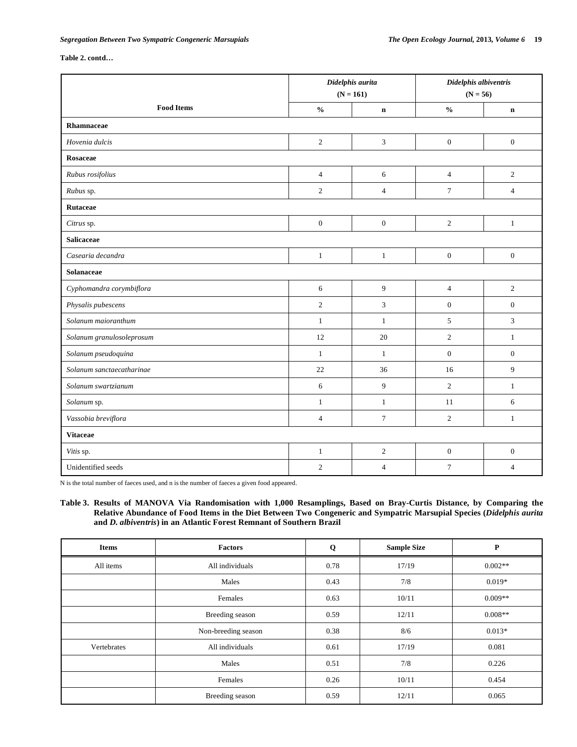**Table 2. contd…**

|                           | Didelphis aurita |                  | Didelphis albiventris |                  |
|---------------------------|------------------|------------------|-----------------------|------------------|
|                           | $(N = 161)$      |                  | $(N = 56)$            |                  |
| <b>Food Items</b>         | $\frac{0}{0}$    | $\mathbf n$      | $\frac{0}{0}$         | $\mathbf n$      |
| Rhamnaceae                |                  |                  |                       |                  |
| Hovenia dulcis            | $\sqrt{2}$       | 3                | $\boldsymbol{0}$      | $\boldsymbol{0}$ |
| Rosaceae                  |                  |                  |                       |                  |
| Rubus rosifolius          | $\overline{4}$   | 6                | $\overline{4}$        | $\overline{2}$   |
| Rubus sp.                 | $\overline{2}$   | $\overline{4}$   | $\tau$                | $\overline{4}$   |
| Rutaceae                  |                  |                  |                       |                  |
| Citrus sp.                | $\boldsymbol{0}$ | $\boldsymbol{0}$ | $\sqrt{2}$            | $\mathbf{1}$     |
| <b>Salicaceae</b>         |                  |                  |                       |                  |
| Casearia decandra         | $\mathbf{1}$     | $\mathbf{1}$     | $\boldsymbol{0}$      | $\boldsymbol{0}$ |
| Solanaceae                |                  |                  |                       |                  |
| Cyphomandra corymbiflora  | 6                | 9                | $\sqrt{4}$            | $\overline{c}$   |
| Physalis pubescens        | $\overline{2}$   | 3                | $\mathbf{0}$          | $\mathbf{0}$     |
| Solanum maioranthum       | $\mathbf{1}$     | $\mathbf{1}$     | 5                     | 3                |
| Solanum granulosoleprosum | 12               | 20               | $\overline{2}$        | $\mathbf{1}$     |
| Solanum pseudoquina       | $\mathbf{1}$     | $\mathbf{1}$     | $\mathbf{0}$          | $\boldsymbol{0}$ |
| Solanum sanctaecatharinae | 22               | 36               | 16                    | 9                |
| Solanum swartzianum       | 6                | 9                | $\sqrt{2}$            | $\mathbf{1}$     |
| Solanum sp.               | $\mathbf{1}$     | $\mathbf{1}$     | 11                    | 6                |
| Vassobia breviflora       | $\overline{4}$   | $\overline{7}$   | $\sqrt{2}$            | $\mathbf{1}$     |
| <b>Vitaceae</b>           |                  |                  |                       |                  |
| Vitis sp.                 | $\mathbf{1}$     | $\sqrt{2}$       | $\boldsymbol{0}$      | $\boldsymbol{0}$ |
| Unidentified seeds        | $\overline{2}$   | $\overline{4}$   | $\overline{7}$        | $\overline{4}$   |

N is the total number of faeces used, and n is the number of faeces a given food appeared.

**Table 3. Results of MANOVA Via Randomisation with 1,000 Resamplings, Based on Bray-Curtis Distance, by Comparing the Relative Abundance of Food Items in the Diet Between Two Congeneric and Sympatric Marsupial Species (***Didelphis aurita*  **and** *D. albiventris***) in an Atlantic Forest Remnant of Southern Brazil**

| <b>Items</b> | <b>Factors</b>      | Q    | <b>Sample Size</b> | P         |
|--------------|---------------------|------|--------------------|-----------|
| All items    | All individuals     | 0.78 | 17/19              | $0.002**$ |
|              | Males               | 0.43 | 7/8                | $0.019*$  |
|              | Females             | 0.63 | 10/11              | $0.009**$ |
|              | Breeding season     | 0.59 | 12/11              | $0.008**$ |
|              | Non-breeding season | 0.38 | 8/6                | $0.013*$  |
| Vertebrates  | All individuals     | 0.61 | 17/19              | 0.081     |
|              | Males               | 0.51 | 7/8                | 0.226     |
|              | Females             | 0.26 | 10/11              | 0.454     |
|              | Breeding season     | 0.59 | 12/11              | 0.065     |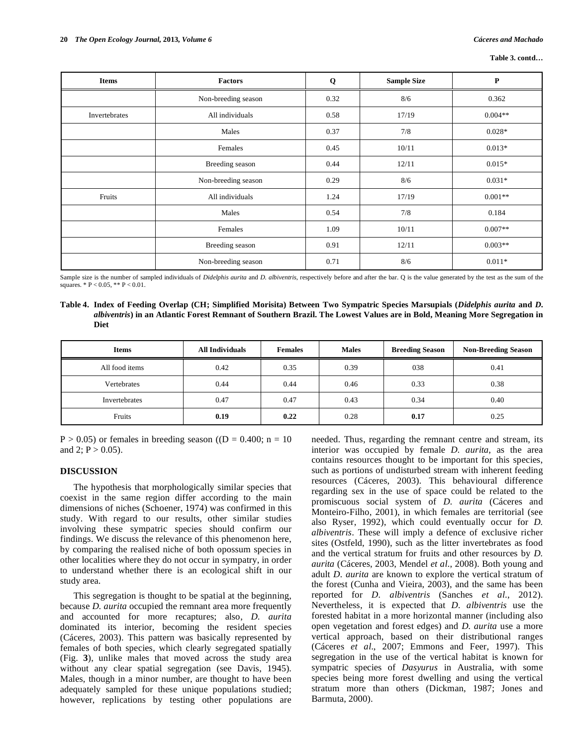| <b>Items</b>  | Factors             | Q    | <b>Sample Size</b> | ${\bf P}$ |
|---------------|---------------------|------|--------------------|-----------|
|               | Non-breeding season | 0.32 | 8/6                | 0.362     |
| Invertebrates | All individuals     | 0.58 | 17/19              | $0.004**$ |
|               | Males               | 0.37 | 7/8                | $0.028*$  |
|               | Females             | 0.45 | 10/11              | $0.013*$  |
|               | Breeding season     | 0.44 | 12/11              | $0.015*$  |
|               | Non-breeding season | 0.29 | 8/6                | $0.031*$  |
| Fruits        | All individuals     | 1.24 | 17/19              | $0.001**$ |
|               | Males               | 0.54 | 7/8                | 0.184     |
|               | Females             | 1.09 | 10/11              | $0.007**$ |
|               | Breeding season     | 0.91 | 12/11              | $0.003**$ |
|               | Non-breeding season | 0.71 | 8/6                | $0.011*$  |

Sample size is the number of sampled individuals of *Didelphis aurita* and *D. albiventris*, respectively before and after the bar. Q is the value generated by the test as the sum of the squares.  $* P < 0.05$ ,  $* P < 0.01$ .

| Table 4. Index of Feeding Overlap (CH; Simplified Morisita) Between Two Sympatric Species Marsupials (Didelphis aurita and D.     |
|-----------------------------------------------------------------------------------------------------------------------------------|
| <i>albiventris</i> ) in an Atlantic Forest Remnant of Southern Brazil. The Lowest Values are in Bold, Meaning More Segregation in |
| Diet                                                                                                                              |

| <b>Items</b>   | <b>All Individuals</b> | <b>Females</b> | <b>Males</b> | <b>Breeding Season</b> | <b>Non-Breeding Season</b> |
|----------------|------------------------|----------------|--------------|------------------------|----------------------------|
| All food items | 0.42                   | 0.35           | 0.39         | 038                    | 0.41                       |
| Vertebrates    | 0.44                   | 0.44           | 0.46         | 0.33                   | 0.38                       |
| Invertebrates  | 0.47                   | 0.47           | 0.43         | 0.34                   | 0.40                       |
| Fruits         | 0.19                   | 0.22           | 0.28         | 0.17                   | 0.25                       |

 $P > 0.05$ ) or females in breeding season ((D = 0.400; n = 10) and 2;  $P > 0.05$ ).

# **DISCUSSION**

The hypothesis that morphologically similar species that coexist in the same region differ according to the main dimensions of niches (Schoener, 1974) was confirmed in this study. With regard to our results, other similar studies involving these sympatric species should confirm our findings. We discuss the relevance of this phenomenon here, by comparing the realised niche of both opossum species in other localities where they do not occur in sympatry, in order to understand whether there is an ecological shift in our study area.

This segregation is thought to be spatial at the beginning, because *D. aurita* occupied the remnant area more frequently and accounted for more recaptures; also, *D. aurita*  dominated its interior, becoming the resident species (Cáceres, 2003). This pattern was basically represented by females of both species, which clearly segregated spatially (Fig. **3**), unlike males that moved across the study area without any clear spatial segregation (see Davis, 1945). Males, though in a minor number, are thought to have been adequately sampled for these unique populations studied; however, replications by testing other populations are needed. Thus, regarding the remnant centre and stream, its interior was occupied by female *D. aurita*, as the area contains resources thought to be important for this species, such as portions of undisturbed stream with inherent feeding resources (Cáceres, 2003). This behavioural difference regarding sex in the use of space could be related to the promiscuous social system of *D. aurita* (Cáceres and Monteiro-Filho, 2001), in which females are territorial (see also Ryser, 1992), which could eventually occur for *D. albiventris*. These will imply a defence of exclusive richer sites (Ostfeld, 1990), such as the litter invertebrates as food and the vertical stratum for fruits and other resources by *D. aurita* (Cáceres, 2003, Mendel *et al*., 2008). Both young and adult *D. aurita* are known to explore the vertical stratum of the forest (Cunha and Vieira, 2003), and the same has been reported for *D. albiventris* (Sanches *et al*., 2012). Nevertheless, it is expected that *D. albiventris* use the forested habitat in a more horizontal manner (including also open vegetation and forest edges) and *D. aurita* use a more vertical approach, based on their distributional ranges (Cáceres *et al*., 2007; Emmons and Feer, 1997). This segregation in the use of the vertical habitat is known for sympatric species of *Dasyurus* in Australia, with some species being more forest dwelling and using the vertical stratum more than others (Dickman, 1987; Jones and Barmuta, 2000).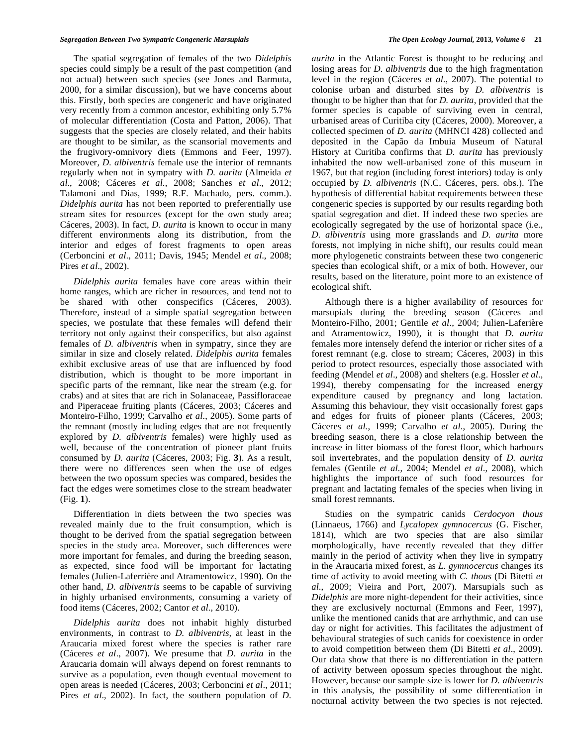The spatial segregation of females of the two *Didelphis* species could simply be a result of the past competition (and not actual) between such species (see Jones and Barmuta, 2000, for a similar discussion), but we have concerns about this. Firstly, both species are congeneric and have originated very recently from a common ancestor, exhibiting only 5.7% of molecular differentiation (Costa and Patton, 2006). That suggests that the species are closely related, and their habits are thought to be similar, as the scansorial movements and the frugivory-omnivory diets (Emmons and Feer, 1997). Moreover, *D. albiventris* female use the interior of remnants regularly when not in sympatry with *D. aurita* (Almeida *et al*., 2008; Cáceres *et al*., 2008; Sanches *et al*., 2012; Talamoni and Dias, 1999; R.F. Machado, pers. comm.). *Didelphis aurita* has not been reported to preferentially use stream sites for resources (except for the own study area; Cáceres, 2003). In fact, *D. aurita* is known to occur in many different environments along its distribution, from the interior and edges of forest fragments to open areas (Cerboncini *et al*., 2011; Davis, 1945; Mendel *et al*., 2008; Pires *et al*., 2002).

*Didelphis aurita* females have core areas within their home ranges, which are richer in resources, and tend not to be shared with other conspecifics (Cáceres, 2003). Therefore, instead of a simple spatial segregation between species, we postulate that these females will defend their territory not only against their conspecifics, but also against females of *D. albiventris* when in sympatry, since they are similar in size and closely related. *Didelphis aurita* females exhibit exclusive areas of use that are influenced by food distribution, which is thought to be more important in specific parts of the remnant, like near the stream (e.g. for crabs) and at sites that are rich in Solanaceae, Passifloraceae and Piperaceae fruiting plants (Cáceres, 2003; Cáceres and Monteiro-Filho, 1999; Carvalho *et al*., 2005). Some parts of the remnant (mostly including edges that are not frequently explored by *D. albiventris* females) were highly used as well, because of the concentration of pioneer plant fruits consumed by *D. aurita* (Cáceres, 2003; Fig. **3**). As a result, there were no differences seen when the use of edges between the two opossum species was compared, besides the fact the edges were sometimes close to the stream headwater (Fig. **1**).

Differentiation in diets between the two species was revealed mainly due to the fruit consumption, which is thought to be derived from the spatial segregation between species in the study area. Moreover, such differences were more important for females, and during the breeding season, as expected, since food will be important for lactating females (Julien-Laferrière and Atramentowicz, 1990). On the other hand, *D. albiventris* seems to be capable of surviving in highly urbanised environments, consuming a variety of food items (Cáceres, 2002; Cantor *et al*., 2010).

*Didelphis aurita* does not inhabit highly disturbed environments, in contrast to *D. albiventris,* at least in the Araucaria mixed forest where the species is rather rare (Cáceres *et al*., 2007). We presume that *D. aurita* in the Araucaria domain will always depend on forest remnants to survive as a population, even though eventual movement to open areas is needed (Cáceres, 2003; Cerboncini *et al*., 2011; Pires *et al.*, 2002). In fact, the southern population of *D*.

*aurita* in the Atlantic Forest is thought to be reducing and losing areas for *D. albiventris* due to the high fragmentation level in the region (Cáceres *et al*., 2007). The potential to colonise urban and disturbed sites by *D. albiventris* is thought to be higher than that for *D. aurita*, provided that the former species is capable of surviving even in central, urbanised areas of Curitiba city (Cáceres, 2000). Moreover, a collected specimen of *D. aurita* (MHNCI 428) collected and deposited in the Capão da Imbuia Museum of Natural History at Curitiba confirms that *D. aurita* has previously inhabited the now well-urbanised zone of this museum in 1967, but that region (including forest interiors) today is only occupied by *D. albiventris* (N.C. Cáceres, pers. obs.). The hypothesis of differential habitat requirements between these congeneric species is supported by our results regarding both spatial segregation and diet. If indeed these two species are ecologically segregated by the use of horizontal space (i.e., *D. albiventris* using more grasslands and *D. aurita* more forests, not implying in niche shift), our results could mean more phylogenetic constraints between these two congeneric species than ecological shift, or a mix of both. However, our results, based on the literature, point more to an existence of ecological shift.

Although there is a higher availability of resources for marsupials during the breeding season (Cáceres and Monteiro-Filho, 2001; Gentile *et al*., 2004; Julien-Laferière and Atramentowicz, 1990), it is thought that *D. aurita* females more intensely defend the interior or richer sites of a forest remnant (e.g. close to stream; Cáceres, 2003) in this period to protect resources, especially those associated with feeding (Mendel *et al*., 2008) and shelters (e.g. Hossler *et al*., 1994), thereby compensating for the increased energy expenditure caused by pregnancy and long lactation. Assuming this behaviour, they visit occasionally forest gaps and edges for fruits of pioneer plants (Cáceres, 2003; Cáceres *et al.*, 1999; Carvalho *et al*., 2005). During the breeding season, there is a close relationship between the increase in litter biomass of the forest floor, which harbours soil invertebrates, and the population density of *D. aurita* females (Gentile *et al*., 2004; Mendel *et al*., 2008), which highlights the importance of such food resources for pregnant and lactating females of the species when living in small forest remnants.

Studies on the sympatric canids *Cerdocyon thous* (Linnaeus, 1766) and *Lycalopex gymnocercus* (G. Fischer, 1814), which are two species that are also similar morphologically, have recently revealed that they differ mainly in the period of activity when they live in sympatry in the Araucaria mixed forest, as *L. gymnocercus* changes its time of activity to avoid meeting with *C. thous* (Di Bitetti *et al*., 2009; Vieira and Port, 2007). Marsupials such as *Didelphis* are more night-dependent for their activities, since they are exclusively nocturnal (Emmons and Feer, 1997), unlike the mentioned canids that are arrhythmic, and can use day or night for activities. This facilitates the adjustment of behavioural strategies of such canids for coexistence in order to avoid competition between them (Di Bitetti *et al*., 2009). Our data show that there is no differentiation in the pattern of activity between opossum species throughout the night. However, because our sample size is lower for *D. albiventris* in this analysis, the possibility of some differentiation in nocturnal activity between the two species is not rejected.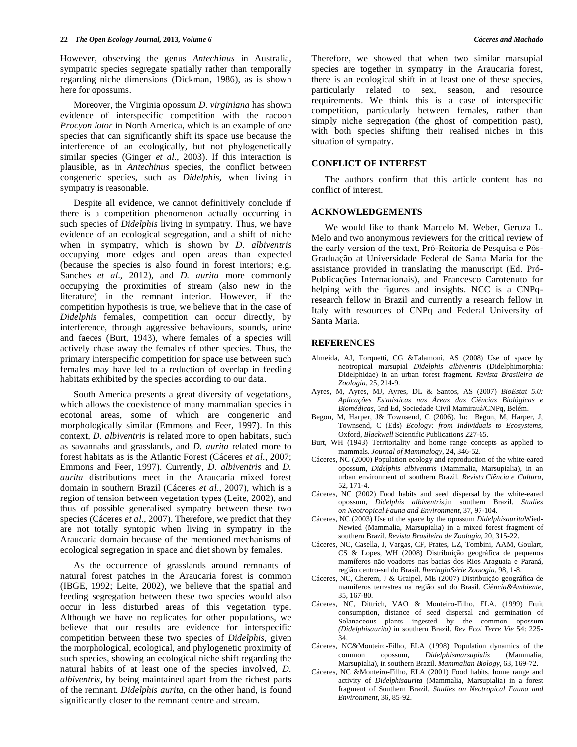However, observing the genus *Antechinus* in Australia, sympatric species segregate spatially rather than temporally regarding niche dimensions (Dickman, 1986), as is shown here for opossums.

Moreover, the Virginia opossum *D. virginiana* has shown evidence of interspecific competition with the racoon *Procyon lotor* in North America, which is an example of one species that can significantly shift its space use because the interference of an ecologically, but not phylogenetically similar species (Ginger *et al*., 2003). If this interaction is plausible, as in *Antechinus* species, the conflict between congeneric species, such as *Didelphis,* when living in sympatry is reasonable.

Despite all evidence, we cannot definitively conclude if there is a competition phenomenon actually occurring in such species of *Didelphis* living in sympatry. Thus, we have evidence of an ecological segregation, and a shift of niche when in sympatry, which is shown by *D. albiventris* occupying more edges and open areas than expected (because the species is also found in forest interiors; e.g. Sanches *et al*., 2012), and *D. aurita* more commonly occupying the proximities of stream (also new in the literature) in the remnant interior. However, if the competition hypothesis is true, we believe that in the case of *Didelphis* females, competition can occur directly, by interference, through aggressive behaviours, sounds, urine and faeces (Burt, 1943), where females of a species will actively chase away the females of other species. Thus, the primary interspecific competition for space use between such females may have led to a reduction of overlap in feeding habitats exhibited by the species according to our data.

South America presents a great diversity of vegetations, which allows the coexistence of many mammalian species in ecotonal areas, some of which are congeneric and morphologically similar (Emmons and Feer, 1997). In this context, *D. albiventris* is related more to open habitats, such as savannahs and grasslands, and *D. aurita* related more to forest habitats as is the Atlantic Forest (Cáceres *et al*., 2007; Emmons and Feer, 1997). Currently, *D. albiventris* and *D. aurita* distributions meet in the Araucaria mixed forest domain in southern Brazil (Cáceres *et al*., 2007), which is a region of tension between vegetation types (Leite, 2002), and thus of possible generalised sympatry between these two species (Cáceres *et al*., 2007). Therefore, we predict that they are not totally syntopic when living in sympatry in the Araucaria domain because of the mentioned mechanisms of ecological segregation in space and diet shown by females.

As the occurrence of grasslands around remnants of natural forest patches in the Araucaria forest is common (IBGE, 1992; Leite, 2002), we believe that the spatial and feeding segregation between these two species would also occur in less disturbed areas of this vegetation type. Although we have no replicates for other populations, we believe that our results are evidence for interspecific competition between these two species of *Didelphis*, given the morphological, ecological, and phylogenetic proximity of such species, showing an ecological niche shift regarding the natural habits of at least one of the species involved, *D. albiventris*, by being maintained apart from the richest parts of the remnant. *Didelphis aurita*, on the other hand, is found significantly closer to the remnant centre and stream.

Therefore, we showed that when two similar marsupial species are together in sympatry in the Araucaria forest, there is an ecological shift in at least one of these species, particularly related to sex, season, and resource requirements. We think this is a case of interspecific competition, particularly between females, rather than simply niche segregation (the ghost of competition past), with both species shifting their realised niches in this situation of sympatry.

#### **CONFLICT OF INTEREST**

The authors confirm that this article content has no conflict of interest.

## **ACKNOWLEDGEMENTS**

We would like to thank Marcelo M. Weber, Geruza L. Melo and two anonymous reviewers for the critical review of the early version of the text, Pró-Reitoria de Pesquisa e Pós-Graduação at Universidade Federal de Santa Maria for the assistance provided in translating the manuscript (Ed. Pró-Publicações Internacionais), and Francesco Carotenuto for helping with the figures and insights. NCC is a CNPqresearch fellow in Brazil and currently a research fellow in Italy with resources of CNPq and Federal University of Santa Maria.

## **REFERENCES**

- Almeida, AJ, Torquetti, CG &Talamoni, AS (2008) Use of space by neotropical marsupial *Didelphis albiventris* (Didelphimorphia: Didelphidae) in an urban forest fragment. *Revista Brasileira de Zoologia*, 25, 214-9.
- Ayres, M, Ayres, MJ, Ayres, DL & Santos, AS (2007) *BioEstat 5.0: Aplicações Estatísticas nas Áreas das Ciências Biológicas e Biomédicas*, 5nd Ed, Sociedade Civil Mamirauá/CNPq, Belém.
- Begon, M, Harper, J& Townsend, C (2006). In: Begon, M, Harper, J, Townsend, C (Eds) *Ecology: from Individuals to Ecosystems*, Oxford, *Blackwell* Scientific Publications 227-65.
- Burt, WH (1943) Territoriality and home range concepts as applied to mammals. *Journal of Mammalogy*, 24, 346-52.
- Cáceres, NC (2000) Population ecology and reproduction of the white-eared opossum, *Didelphis albiventris* (Mammalia, Marsupialia), in an urban environment of southern Brazil. *Revista Ciência e Cultura*, 52, 171-4.
- Cáceres, NC (2002) Food habits and seed dispersal by the white-eared opossum, *Didelphis albiventris*,in southern Brazil. *Studies on Neotropical Fauna and Environment*, 37, 97-104.
- Cáceres, NC (2003) Use of the space by the opossum *Didelphisaurita*Wied-Newied (Mammalia, Marsupialia) in a mixed forest fragment of southern Brazil. *Revista Brasileira de Zoologia*, 20, 315-22.
- Cáceres, NC, Casella, J, Vargas, CF, Prates, LZ, Tombini, AAM, Goulart, CS & Lopes, WH (2008) Distribuição geográfica de pequenos mamíferos não voadores nas bacias dos Rios Araguaia e Paraná, região centro-sul do Brasil. *IheringiaSérie Zoologia*, 98, 1-8.
- Cáceres, NC, Cherem, J & Graipel, ME (2007) Distribuição geográfica de mamíferos terrestres na região sul do Brasil. *Ciência&Ambiente*, 35, 167-80.
- Cáceres, NC, Dittrich, VAO & Monteiro-Filho, ELA. (1999) Fruit consumption, distance of seed dispersal and germination of Solanaceous plants ingested by the common opossum *(Didelphisaurita)* in southern Brazil. *Rev Ecol Terre Vie* 54: 225- 34.
- Cáceres, NC&Monteiro-Filho, ELA (1998) Population dynamics of the common opossum, *Didelphismarsupialis* (Mammalia, Marsupialia), in southern Brazil. *Mammalian Biology*, 63, 169-72.
- Cáceres, NC &Monteiro-Filho, ELA (2001) Food habits, home range and activity of *Didelphisaurita* (Mammalia, Marsupialia) in a forest fragment of Southern Brazil. *Studies on Neotropical Fauna and Environment*, 36, 85-92.